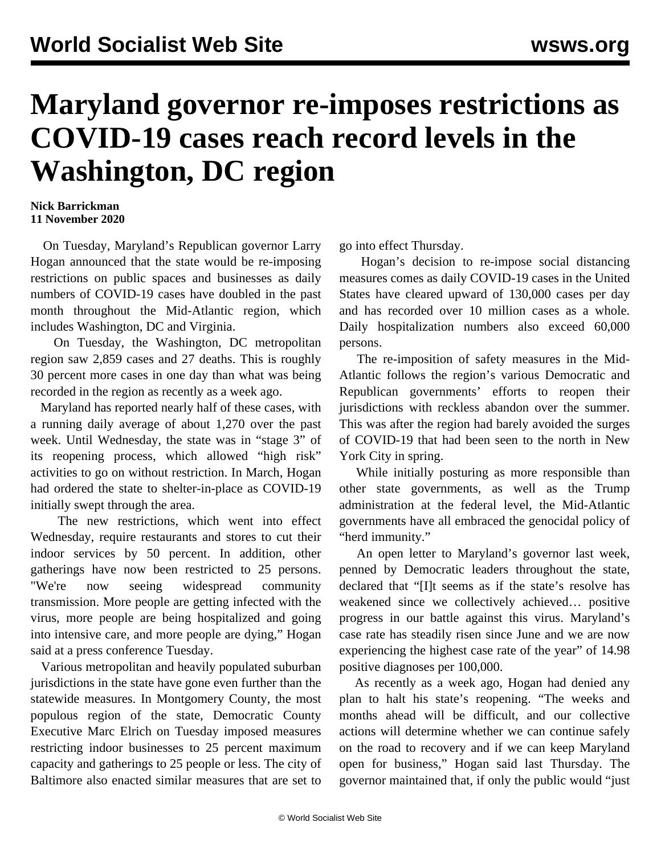## **Maryland governor re-imposes restrictions as COVID-19 cases reach record levels in the Washington, DC region**

## **Nick Barrickman 11 November 2020**

 On Tuesday, Maryland's Republican governor Larry Hogan announced that the state would be re-imposing restrictions on public spaces and businesses as daily numbers of COVID-19 cases have doubled in the past month throughout the Mid-Atlantic region, which includes Washington, DC and Virginia.

 On Tuesday, the Washington, DC metropolitan region saw 2,859 cases and 27 deaths. This is roughly 30 percent more cases in one day than what was being recorded in the region as recently as a week ago.

 Maryland has reported nearly half of these cases, with a running daily average of about 1,270 over the past week. Until Wednesday, the state was in "stage 3" of its reopening process, which allowed "high risk" activities to go on without restriction. In March, Hogan had ordered the state to shelter-in-place as COVID-19 initially swept through the area.

 The new restrictions, which went into effect Wednesday, require restaurants and stores to cut their indoor services by 50 percent. In addition, other gatherings have now been restricted to 25 persons. "We're now seeing widespread community transmission. More people are getting infected with the virus, more people are being hospitalized and going into intensive care, and more people are dying," Hogan said at a press conference Tuesday.

 Various metropolitan and heavily populated suburban jurisdictions in the state have gone even further than the statewide measures. In Montgomery County, the most populous region of the state, Democratic County Executive Marc Elrich on Tuesday imposed measures restricting indoor businesses to 25 percent maximum capacity and gatherings to 25 people or less. The city of Baltimore also enacted similar measures that are set to

go into effect Thursday.

 Hogan's decision to re-impose social distancing measures comes as daily COVID-19 cases in the United States have cleared upward of 130,000 cases per day and has recorded over 10 million cases as a whole. Daily hospitalization numbers also exceed 60,000 persons.

 The re-imposition of safety measures in the Mid-Atlantic follows the region's various Democratic and Republican governments' efforts to reopen their jurisdictions with reckless abandon over the summer. This was after the region had barely avoided the surges of COVID-19 that had been seen to the north in New York City in spring.

 While initially posturing as more responsible than other state governments, as well as the Trump administration at the federal level, the Mid-Atlantic governments have all embraced the genocidal policy of "herd immunity."

 An open letter to Maryland's governor last week, penned by Democratic leaders throughout the state, declared that "[I]t seems as if the state's resolve has weakened since we collectively achieved… positive progress in our battle against this virus. Maryland's case rate has steadily risen since June and we are now experiencing the highest case rate of the year" of 14.98 positive diagnoses per 100,000.

 As recently as a week ago, Hogan had denied any plan to halt his state's reopening. "The weeks and months ahead will be difficult, and our collective actions will determine whether we can continue safely on the road to recovery and if we can keep Maryland open for business," Hogan said last Thursday. The governor maintained that, if only the public would "just